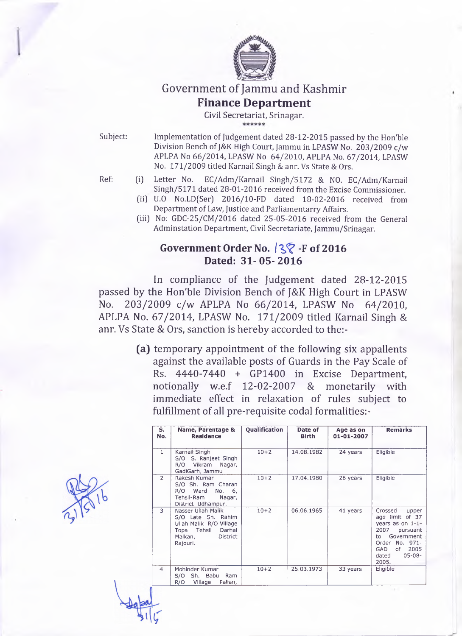

# Government of Jammu and Kashmir

### **Finance Department**

**Civil Secretariat, Srinagar.**

**Subject: Implementation of Judgement dated 28-12-2015 passed by the Hon'ble Division Bench of J&K High Court, Jammu in LPASW No. 203/2009 c/w APLPA No 66/2014, LPASW No 64/2010, APLPA No. 67/2014, LPASW No. 171/2009 titled Karnail Singh & anr. Vs State & Ors.**

- **Ref: (i) Letter No. EC/Adm/Karnail Singh/5172 & NO. EC/Adm/Karnail Singh/5171 dated 28-01-2016 received from the Excise Commissioner.**
	- **(ii) U.O No.LDfSer] 2016/10-FD dated 18-02-2016 received from Department of Law, Justice and Parliamentarry Affairs.**
	- **(iii) No: GDC-25/CM/2016 dated 25-05-2016 received from the General Adminstation Department, Civil Secretariate, Jammu/Srinagar.**

# **Government Order No.** *IQ?* **-F of 2016 Dated: 31-05-2016**

In compliance of the Judgement dated 28-12-2015 passed by the Hon'ble Division Bench of J&K High Court in LPASW No. 203/2009 c/w APLPA No 66/2014, LPASW No 64/2010, APLPA No. 67/2014, LPASW No. 171/2009 titled Karnail Singh & anr. Vs State & Ors, sanction is hereby accorded to the:-

> **(a)** temporary appointment of the following six appallents against the available posts of Guards in the Pay Scale of Rs. 4440-7440 + GP1400 in Excise Department, notionally w.e.f 12-02-2007 & monetarily with immediate effect in relaxation of rules subject to fulfillment of all pre-requisite codal formalities:-

| $S_{1}$<br>No. | Name, Parentage &<br><b>Residence</b>                                                                                           | Qualification | Date of<br><b>Birth</b> | Age as on<br>01-01-2007 | <b>Remarks</b>                                                                                                                                                                 |
|----------------|---------------------------------------------------------------------------------------------------------------------------------|---------------|-------------------------|-------------------------|--------------------------------------------------------------------------------------------------------------------------------------------------------------------------------|
| $\mathbf{1}$   | Karnail Singh<br>S/O S. Ranjeet Singh<br>Vikram<br>Nagar,<br>R/O<br>GadiGarh, Jammu                                             | $10 + 2$      | 14.08.1982              | 24 years                | Eligible                                                                                                                                                                       |
| $\overline{2}$ | Rakesh Kumar<br>S/O Sh. Ram Charan<br>R/O Ward No.<br>6,<br>Tehsil-Ram<br>Nagar,<br>District Udhampur.                          | $10 + 2$      | 17.04.1980              | 26 years                | Eligible                                                                                                                                                                       |
| 3              | Nasser Ullah Malik<br>S/O Late Sh. Rahim<br>Ullah Malik R/O Village<br>Topa Tehsil<br>Darhal<br>Malkan,<br>District<br>Rajouri. | $10 + 2$      | 06.06.1965              | 41 years                | Crossed<br>upper<br>age limit of 37<br>years as on $1-1-$<br>2007<br>pursuant<br>Government<br>to to<br>Order No. 971-<br>2005<br>GAD<br>of -<br>$05 - 08 -$<br>dated<br>2005. |
| $\overline{4}$ | Mohinder Kumar<br>S/O Sh. Babu<br>Ram<br>R/O<br>Village<br>Pallan,                                                              | $10 + 2$      | 25.03.1973              | 33 years                | Eligible                                                                                                                                                                       |
|                |                                                                                                                                 |               |                         |                         |                                                                                                                                                                                |

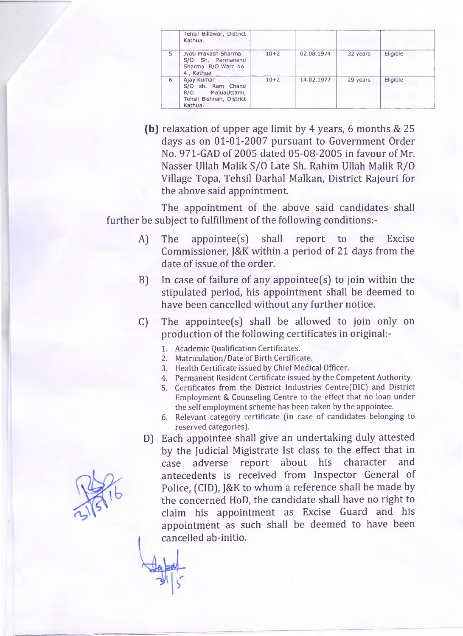|   | Tehsil Billawar, District<br>Kathua.                                                       |          |            |          |                 |
|---|--------------------------------------------------------------------------------------------|----------|------------|----------|-----------------|
| 5 | Jyoti Prakash Sharma<br>S/O Sh. Parmanand<br>Sharma R/O Ward No.<br>4, Kathua              | $10 + 2$ | 02.08.1974 | 32 years | Eligible        |
| 6 | Ajay Kumar<br>S/O sh. Ram Chand<br>R/O MajuaUttami,<br>Tehsil Bishnah, District<br>Kathua. | $10 + 2$ | 14.02.1977 | 29 years | <b>Eligible</b> |

**(b)** relaxation of upper age limit by 4 years, 6 months & 25 days as on 01-01-2007 pursuant to Government Order No. 971-GAD of 2005 dated 05-08-2005 in favour of Mr. Nasser Ullah Malik S/O Late Sh. Rahim Ullah Malik R/O Village Topa, Tehsil Darhal Malkan, District Rajouri for the above said appointment.

The appointment of the above said candidates shall further be subject to fulfillment of the following conditions:-

- A) The appointee(s) shall report to the Excise Commissioner, J&K within a period of 21 days from the date of issue of the order.
- B) In case of failure of any appointee(s) to join within the stipulated period, his appointment shall be deemed to have been cancelled without any further notice.
- C) The appointee(s) shall be allowed to join only on production of the following certificates in original:-
	- **1. Academic Qualification Certificates.**
	- **2. Matriculation/Date of Birth Certificate.**
	- **3. Health Certificate issued by Chief Medical Officer.**
	- **4. Permanent Resident Certificate issued by the Competent Authority.**
	- **5. Certificates from the District Industries Centre(DIC) and District Employment & Counseling Centre to the effect that no loan under the self employment scheme has been taken by the appointee.**
	- **6. Relevant category certificate (in case of candidates belonging to reserved categories).**
- D) Each appointee shall give an undertaking duly attested by the Judicial Migistrate 1st class to the effect that in case adverse report about his character and antecedents is received from Inspector General of Police, (CID), J&K to whom a reference shall be made by the concerned HoD, the candidate shall have no right to claim his appointment as Excise Guard and his appointment as such shall be deemed to have been cancelled ab-initio.